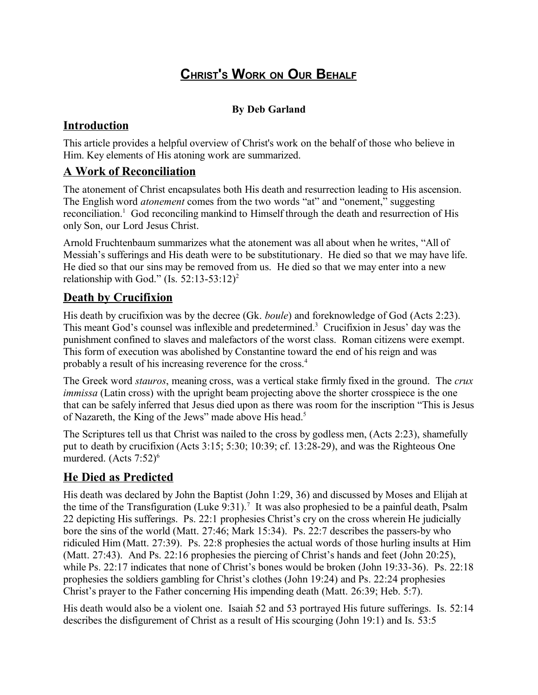# **CHRIST'S WORK ON OUR BEHALF**

#### **By Deb Garland**

### **Introduction**

This article provides a helpful overview of Christ's work on the behalf of those who believe in Him. Key elements of His atoning work are summarized.

### **A Work of Reconciliation**

The atonement of Christ encapsulates both His death and resurrection leading to His ascension. The English word *atonement* comes from the two words "at" and "onement," suggesting reconciliation.<sup>1</sup> God reconciling mankind to Himself through the death and resurrection of His only Son, our Lord Jesus Christ.

Arnold Fruchtenbaum summarizes what the atonement was all about when he writes, "All of Messiah's sufferings and His death were to be substitutionary. He died so that we may have life. He died so that our sins may be removed from us. He died so that we may enter into a new relationship with God." (Is.  $52:13-53:12$ )<sup>2</sup>

### **Death by Crucifixion**

His death by crucifixion was by the decree (Gk. *boule*) and foreknowledge of God (Acts 2:23). This meant God's counsel was inflexible and predetermined.<sup>3</sup> Crucifixion in Jesus' day was the punishment confined to slaves and malefactors of the worst class. Roman citizens were exempt. This form of execution was abolished by Constantine toward the end of his reign and was probably a result of his increasing reverence for the cross.<sup>4</sup>

The Greek word *stauros*, meaning cross, was a vertical stake firmly fixed in the ground. The *crux immissa* (Latin cross) with the upright beam projecting above the shorter crosspiece is the one that can be safely inferred that Jesus died upon as there was room for the inscription "This is Jesus of Nazareth, the King of the Jews" made above His head.<sup>5</sup>

The Scriptures tell us that Christ was nailed to the cross by godless men, (Acts 2:23), shamefully put to death by crucifixion (Acts 3:15; 5:30; 10:39; cf. 13:28-29), and was the Righteous One murdered. (Acts  $7:52$ )<sup>6</sup>

## **He Died as Predicted**

His death was declared by John the Baptist (John 1:29, 36) and discussed by Moses and Elijah at the time of the Transfiguration (Luke  $9:31$ ).<sup>7</sup> It was also prophesied to be a painful death, Psalm 22 depicting His sufferings. Ps. 22:1 prophesies Christ's cry on the cross wherein He judicially bore the sins of the world (Matt. 27:46; Mark 15:34). Ps. 22:7 describes the passers-by who ridiculed Him (Matt. 27:39). Ps. 22:8 prophesies the actual words of those hurling insults at Him (Matt. 27:43). And Ps. 22:16 prophesies the piercing of Christ's hands and feet (John 20:25), while Ps. 22:17 indicates that none of Christ's bones would be broken (John 19:33-36). Ps. 22:18 prophesies the soldiers gambling for Christ's clothes (John 19:24) and Ps. 22:24 prophesies Christ's prayer to the Father concerning His impending death (Matt. 26:39; Heb. 5:7).

His death would also be a violent one. Isaiah 52 and 53 portrayed His future sufferings. Is. 52:14 describes the disfigurement of Christ as a result of His scourging (John 19:1) and Is. 53:5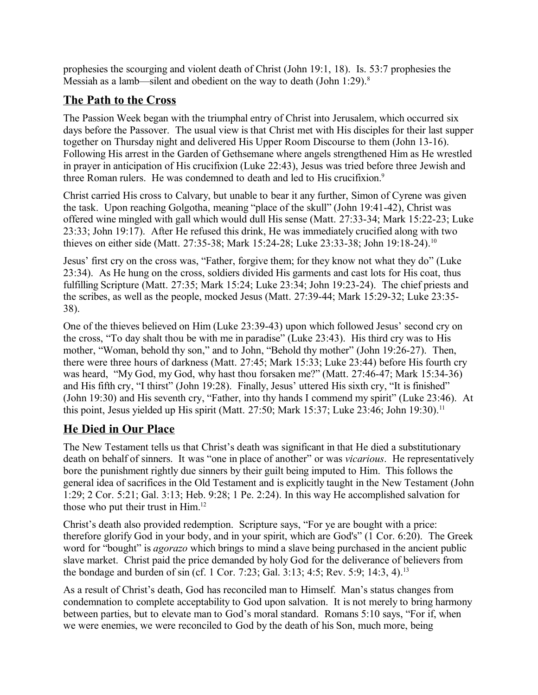prophesies the scourging and violent death of Christ (John 19:1, 18). Is. 53:7 prophesies the Messiah as a lamb—silent and obedient on the way to death (John 1:29).<sup>8</sup>

## **The Path to the Cross**

The Passion Week began with the triumphal entry of Christ into Jerusalem, which occurred six days before the Passover. The usual view is that Christ met with His disciples for their last supper together on Thursday night and delivered His Upper Room Discourse to them (John 13-16). Following His arrest in the Garden of Gethsemane where angels strengthened Him as He wrestled in prayer in anticipation of His crucifixion (Luke 22:43), Jesus was tried before three Jewish and three Roman rulers. He was condemned to death and led to His crucifixion.<sup>9</sup>

Christ carried His cross to Calvary, but unable to bear it any further, Simon of Cyrene was given the task. Upon reaching Golgotha, meaning "place of the skull" (John 19:41-42), Christ was offered wine mingled with gall which would dull His sense (Matt. 27:33-34; Mark 15:22-23; Luke 23:33; John 19:17). After He refused this drink, He was immediately crucified along with two thieves on either side (Matt. 27:35-38; Mark 15:24-28; Luke 23:33-38; John 19:18-24).<sup>10</sup>

Jesus' first cry on the cross was, "Father, forgive them; for they know not what they do" (Luke 23:34). As He hung on the cross, soldiers divided His garments and cast lots for His coat, thus fulfilling Scripture (Matt. 27:35; Mark 15:24; Luke 23:34; John 19:23-24). The chief priests and the scribes, as well as the people, mocked Jesus (Matt. 27:39-44; Mark 15:29-32; Luke 23:35- 38).

One of the thieves believed on Him (Luke 23:39-43) upon which followed Jesus' second cry on the cross, "To day shalt thou be with me in paradise" (Luke 23:43). His third cry was to His mother, "Woman, behold thy son," and to John, "Behold thy mother" (John 19:26-27). Then, there were three hours of darkness (Matt. 27:45; Mark 15:33; Luke 23:44) before His fourth cry was heard, "My God, my God, why hast thou forsaken me?" (Matt. 27:46-47; Mark 15:34-36) and His fifth cry, "I thirst" (John 19:28). Finally, Jesus' uttered His sixth cry, "It is finished" (John 19:30) and His seventh cry, "Father, into thy hands I commend my spirit" (Luke 23:46). At this point, Jesus yielded up His spirit (Matt. 27:50; Mark 15:37; Luke 23:46; John 19:30).<sup>11</sup>

# **He Died in Our Place**

The New Testament tells us that Christ's death was significant in that He died a substitutionary death on behalf of sinners. It was "one in place of another" or was *vicarious*. He representatively bore the punishment rightly due sinners by their guilt being imputed to Him. This follows the general idea of sacrifices in the Old Testament and is explicitly taught in the New Testament (John 1:29; 2 Cor. 5:21; Gal. 3:13; Heb. 9:28; 1 Pe. 2:24). In this way He accomplished salvation for those who put their trust in Him.<sup>12</sup>

Christ's death also provided redemption. Scripture says, "For ye are bought with a price: therefore glorify God in your body, and in your spirit, which are God's" (1 Cor. 6:20). The Greek word for "bought" is *agorazo* which brings to mind a slave being purchased in the ancient public slave market. Christ paid the price demanded by holy God for the deliverance of believers from the bondage and burden of sin (cf. 1 Cor. 7:23; Gal. 3:13; 4:5; Rev. 5:9; 14:3, 4).<sup>13</sup>

As a result of Christ's death, God has reconciled man to Himself. Man's status changes from condemnation to complete acceptability to God upon salvation. It is not merely to bring harmony between parties, but to elevate man to God's moral standard. Romans 5:10 says, "For if, when we were enemies, we were reconciled to God by the death of his Son, much more, being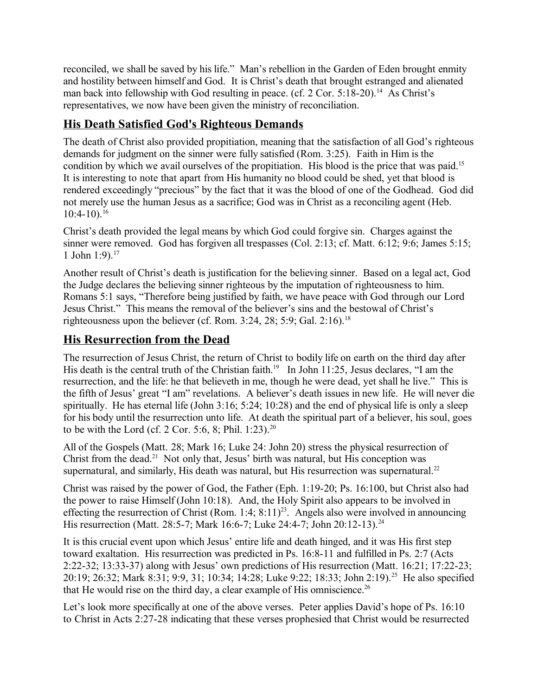reconciled, we shall be saved by his life." Man's rebellion in the Garden of Eden brought enmity and hostility between himself and God. It is Christ's death that brought estranged and alienated man back into fellowship with God resulting in peace. (cf. 2 Cor. 5:18-20).<sup>14</sup> As Christ's representatives, we now have been given the ministry of reconciliation.

## **His Death Satisfied God's Righteous Demands**

The death of Christ also provided propitiation, meaning that the satisfaction of all God's righteous demands for judgment on the sinner were fully satisfied (Rom. 3:25). Faith in Him is the condition by which we avail ourselves of the propitiation. His blood is the price that was paid.<sup>15</sup> It is interesting to note that apart from His humanity no blood could be shed, yet that blood is rendered exceedingly "precious" by the fact that it was the blood of one of the Godhead. God did not merely use the human Jesus as a sacrifice; God was in Christ as a reconciling agent (Heb.  $10:4-10$ ).<sup>16</sup>

Christ's death provided the legal means by which God could forgive sin. Charges against the sinner were removed. God has forgiven all trespasses (Col. 2:13; cf. Matt. 6:12; 9:6; James 5:15; 1 John  $1:9$ .<sup>17</sup>

Another result of Christ's death is justification for the believing sinner. Based on a legal act, God the Judge declares the believing sinner righteous by the imputation of righteousness to him. Romans 5:1 says, "Therefore being justified by faith, we have peace with God through our Lord Jesus Christ." This means the removal of the believer's sins and the bestowal of Christ's righteousness upon the believer (cf. Rom.  $3:24$ ,  $28$ ;  $5:9$ ; Gal.  $2:16$ ).<sup>18</sup>

## **His Resurrection from the Dead**

The resurrection of Jesus Christ, the return of Christ to bodily life on earth on the third day after His death is the central truth of the Christian faith.<sup>19</sup> In John 11:25, Jesus declares, "I am the resurrection, and the life: he that believeth in me, though he were dead, yet shall he live." This is the fifth of Jesus' great "I am" revelations. A believer's death issues in new life. He will never die spiritually. He has eternal life (John 3:16; 5:24; 10:28) and the end of physical life is only a sleep for his body until the resurrection unto life. At death the spiritual part of a believer, his soul, goes to be with the Lord (cf. 2 Cor. 5:6, 8; Phil. 1:23).<sup>20</sup>

All of the Gospels (Matt. 28; Mark 16; Luke 24: John 20) stress the physical resurrection of Christ from the dead.<sup>21</sup> Not only that, Jesus' birth was natural, but His conception was supernatural, and similarly, His death was natural, but His resurrection was supernatural.<sup>22</sup>

Christ was raised by the power of God, the Father (Eph. 1:19-20; Ps. 16:100, but Christ also had the power to raise Himself (John 10:18). And, the Holy Spirit also appears to be involved in effecting the resurrection of Christ (Rom. 1:4;  $8:11$ )<sup>23</sup>. Angels also were involved in announcing His resurrection (Matt. 28:5-7; Mark 16:6-7; Luke 24:4-7; John 20:12-13).<sup>24</sup>

It is this crucial event upon which Jesus' entire life and death hinged, and it was His first step toward exaltation. His resurrection was predicted in Ps. 16:8-11 and fulfilled in Ps. 2:7 (Acts 2:22-32; 13:33-37) along with Jesus' own predictions of His resurrection (Matt. 16:21; 17:22-23; 20:19; 26:32; Mark 8:31; 9:9, 31; 10:34; 14:28; Luke 9:22; 18:33; John 2:19).<sup>25</sup> He also specified that He would rise on the third day, a clear example of His omniscience.<sup>26</sup>

Let's look more specifically at one of the above verses. Peter applies David's hope of Ps. 16:10 to Christ in Acts 2:27-28 indicating that these verses prophesied that Christ would be resurrected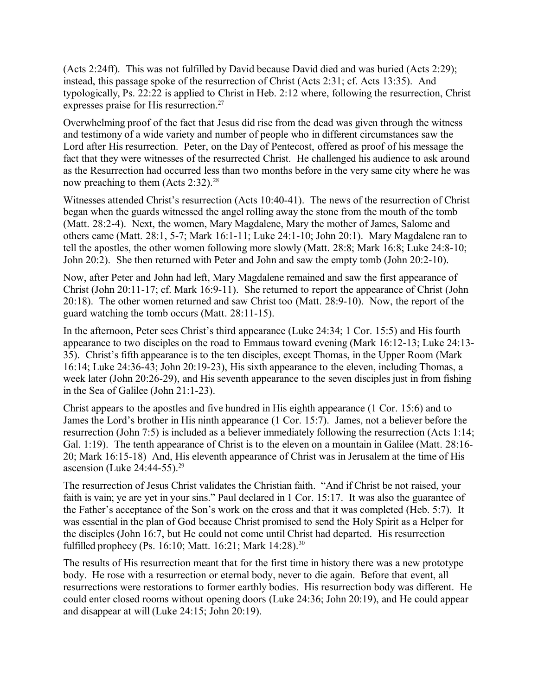(Acts 2:24ff). This was not fulfilled by David because David died and was buried (Acts 2:29); instead, this passage spoke of the resurrection of Christ (Acts 2:31; cf. Acts 13:35). And typologically, Ps. 22:22 is applied to Christ in Heb. 2:12 where, following the resurrection, Christ expresses praise for His resurrection.<sup>27</sup>

Overwhelming proof of the fact that Jesus did rise from the dead was given through the witness and testimony of a wide variety and number of people who in different circumstances saw the Lord after His resurrection. Peter, on the Day of Pentecost, offered as proof of his message the fact that they were witnesses of the resurrected Christ. He challenged his audience to ask around as the Resurrection had occurred less than two months before in the very same city where he was now preaching to them  $(Acts 2:32).^{28}$ 

Witnesses attended Christ's resurrection (Acts 10:40-41). The news of the resurrection of Christ began when the guards witnessed the angel rolling away the stone from the mouth of the tomb (Matt. 28:2-4). Next, the women, Mary Magdalene, Mary the mother of James, Salome and others came (Matt. 28:1, 5-7; Mark 16:1-11; Luke 24:1-10; John 20:1). Mary Magdalene ran to tell the apostles, the other women following more slowly (Matt. 28:8; Mark 16:8; Luke 24:8-10; John 20:2). She then returned with Peter and John and saw the empty tomb (John 20:2-10).

Now, after Peter and John had left, Mary Magdalene remained and saw the first appearance of Christ (John 20:11-17; cf. Mark 16:9-11). She returned to report the appearance of Christ (John 20:18). The other women returned and saw Christ too (Matt. 28:9-10). Now, the report of the guard watching the tomb occurs (Matt. 28:11-15).

In the afternoon, Peter sees Christ's third appearance (Luke 24:34; 1 Cor. 15:5) and His fourth appearance to two disciples on the road to Emmaus toward evening (Mark 16:12-13; Luke 24:13- 35). Christ's fifth appearance is to the ten disciples, except Thomas, in the Upper Room (Mark 16:14; Luke 24:36-43; John 20:19-23), His sixth appearance to the eleven, including Thomas, a week later (John 20:26-29), and His seventh appearance to the seven disciples just in from fishing in the Sea of Galilee (John 21:1-23).

Christ appears to the apostles and five hundred in His eighth appearance (1 Cor. 15:6) and to James the Lord's brother in His ninth appearance (1 Cor. 15:7). James, not a believer before the resurrection (John 7:5) is included as a believer immediately following the resurrection (Acts 1:14; Gal. 1:19). The tenth appearance of Christ is to the eleven on a mountain in Galilee (Matt. 28:16- 20; Mark 16:15-18) And, His eleventh appearance of Christ was in Jerusalem at the time of His ascension (Luke 24:44-55).<sup>29</sup>

The resurrection of Jesus Christ validates the Christian faith. "And if Christ be not raised, your faith is vain; ye are yet in your sins." Paul declared in 1 Cor. 15:17. It was also the guarantee of the Father's acceptance of the Son's work on the cross and that it was completed (Heb. 5:7). It was essential in the plan of God because Christ promised to send the Holy Spirit as a Helper for the disciples (John 16:7, but He could not come until Christ had departed. His resurrection fulfilled prophecy (Ps. 16:10; Matt. 16:21; Mark 14:28).<sup>30</sup>

The results of His resurrection meant that for the first time in history there was a new prototype body. He rose with a resurrection or eternal body, never to die again. Before that event, all resurrections were restorations to former earthly bodies. His resurrection body was different. He could enter closed rooms without opening doors (Luke 24:36; John 20:19), and He could appear and disappear at will (Luke 24:15; John 20:19).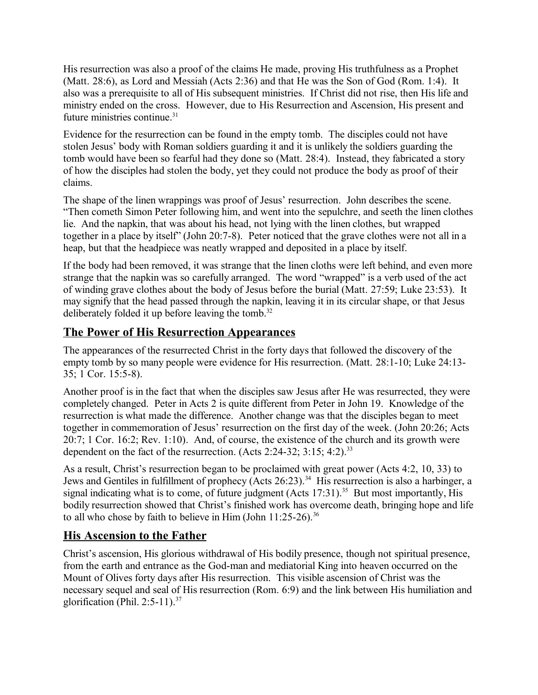His resurrection was also a proof of the claims He made, proving His truthfulness as a Prophet (Matt. 28:6), as Lord and Messiah (Acts 2:36) and that He was the Son of God (Rom. 1:4). It also was a prerequisite to all of His subsequent ministries. If Christ did not rise, then His life and ministry ended on the cross. However, due to His Resurrection and Ascension, His present and future ministries continue.<sup>31</sup>

Evidence for the resurrection can be found in the empty tomb. The disciples could not have stolen Jesus' body with Roman soldiers guarding it and it is unlikely the soldiers guarding the tomb would have been so fearful had they done so (Matt. 28:4). Instead, they fabricated a story of how the disciples had stolen the body, yet they could not produce the body as proof of their claims.

The shape of the linen wrappings was proof of Jesus' resurrection. John describes the scene. "Then cometh Simon Peter following him, and went into the sepulchre, and seeth the linen clothes lie. And the napkin, that was about his head, not lying with the linen clothes, but wrapped together in a place by itself" (John 20:7-8). Peter noticed that the grave clothes were not all in a heap, but that the headpiece was neatly wrapped and deposited in a place by itself.

If the body had been removed, it was strange that the linen cloths were left behind, and even more strange that the napkin was so carefully arranged. The word "wrapped" is a verb used of the act of winding grave clothes about the body of Jesus before the burial (Matt. 27:59; Luke 23:53). It may signify that the head passed through the napkin, leaving it in its circular shape, or that Jesus deliberately folded it up before leaving the tomb.<sup>32</sup>

## **The Power of His Resurrection Appearances**

The appearances of the resurrected Christ in the forty days that followed the discovery of the empty tomb by so many people were evidence for His resurrection. (Matt. 28:1-10; Luke 24:13- 35; 1 Cor. 15:5-8).

Another proof is in the fact that when the disciples saw Jesus after He was resurrected, they were completely changed. Peter in Acts 2 is quite different from Peter in John 19. Knowledge of the resurrection is what made the difference. Another change was that the disciples began to meet together in commemoration of Jesus' resurrection on the first day of the week. (John 20:26; Acts 20:7; 1 Cor. 16:2; Rev. 1:10). And, of course, the existence of the church and its growth were dependent on the fact of the resurrection. (Acts 2:24-32;  $3:15$ ;  $4:2$ ).<sup>33</sup>

As a result, Christ's resurrection began to be proclaimed with great power (Acts 4:2, 10, 33) to Jews and Gentiles in fulfillment of prophecy (Acts 26:23).<sup>34</sup> His resurrection is also a harbinger, a signal indicating what is to come, of future judgment (Acts 17:31).<sup>35</sup> But most importantly. His bodily resurrection showed that Christ's finished work has overcome death, bringing hope and life to all who chose by faith to believe in Him (John  $11:25-26$ ).<sup>36</sup>

## **His Ascension to the Father**

Christ's ascension, His glorious withdrawal of His bodily presence, though not spiritual presence, from the earth and entrance as the God-man and mediatorial King into heaven occurred on the Mount of Olives forty days after His resurrection. This visible ascension of Christ was the necessary sequel and seal of His resurrection (Rom. 6:9) and the link between His humiliation and glorification (Phil.  $2:5-11$ ).<sup>37</sup>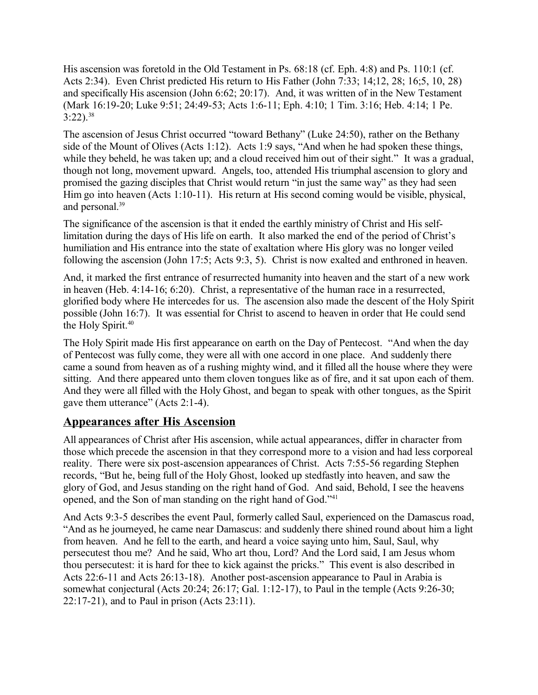His ascension was foretold in the Old Testament in Ps. 68:18 (cf. Eph. 4:8) and Ps. 110:1 (cf. Acts 2:34). Even Christ predicted His return to His Father (John 7:33; 14;12, 28; 16;5, 10, 28) and specifically His ascension (John 6:62; 20:17). And, it was written of in the New Testament (Mark 16:19-20; Luke 9:51; 24:49-53; Acts 1:6-11; Eph. 4:10; 1 Tim. 3:16; Heb. 4:14; 1 Pe.  $3:22$ ).<sup>38</sup>

The ascension of Jesus Christ occurred "toward Bethany" (Luke 24:50), rather on the Bethany side of the Mount of Olives (Acts 1:12). Acts 1:9 says, "And when he had spoken these things, while they beheld, he was taken up; and a cloud received him out of their sight." It was a gradual, though not long, movement upward. Angels, too, attended His triumphal ascension to glory and promised the gazing disciples that Christ would return "in just the same way" as they had seen Him go into heaven (Acts 1:10-11). His return at His second coming would be visible, physical, and personal.<sup>39</sup>

The significance of the ascension is that it ended the earthly ministry of Christ and His selflimitation during the days of His life on earth. It also marked the end of the period of Christ's humiliation and His entrance into the state of exaltation where His glory was no longer veiled following the ascension (John 17:5; Acts 9:3, 5). Christ is now exalted and enthroned in heaven.

And, it marked the first entrance of resurrected humanity into heaven and the start of a new work in heaven (Heb. 4:14-16; 6:20). Christ, a representative of the human race in a resurrected, glorified body where He intercedes for us. The ascension also made the descent of the Holy Spirit possible (John 16:7). It was essential for Christ to ascend to heaven in order that He could send the Holy Spirit.<sup>40</sup>

The Holy Spirit made His first appearance on earth on the Day of Pentecost. "And when the day of Pentecost was fully come, they were all with one accord in one place. And suddenly there came a sound from heaven as of a rushing mighty wind, and it filled all the house where they were sitting. And there appeared unto them cloven tongues like as of fire, and it sat upon each of them. And they were all filled with the Holy Ghost, and began to speak with other tongues, as the Spirit gave them utterance" (Acts 2:1-4).

### **Appearances after His Ascension**

All appearances of Christ after His ascension, while actual appearances, differ in character from those which precede the ascension in that they correspond more to a vision and had less corporeal reality. There were six post-ascension appearances of Christ. Acts 7:55-56 regarding Stephen records, "But he, being full of the Holy Ghost, looked up stedfastly into heaven, and saw the glory of God, and Jesus standing on the right hand of God. And said, Behold, I see the heavens opened, and the Son of man standing on the right hand of God."<sup>41</sup>

And Acts 9:3-5 describes the event Paul, formerly called Saul, experienced on the Damascus road, "And as he journeyed, he came near Damascus: and suddenly there shined round about him a light from heaven. And he fell to the earth, and heard a voice saying unto him, Saul, Saul, why persecutest thou me? And he said, Who art thou, Lord? And the Lord said, I am Jesus whom thou persecutest: it is hard for thee to kick against the pricks." This event is also described in Acts 22:6-11 and Acts 26:13-18). Another post-ascension appearance to Paul in Arabia is somewhat conjectural (Acts 20:24; 26:17; Gal. 1:12-17), to Paul in the temple (Acts 9:26-30; 22:17-21), and to Paul in prison (Acts 23:11).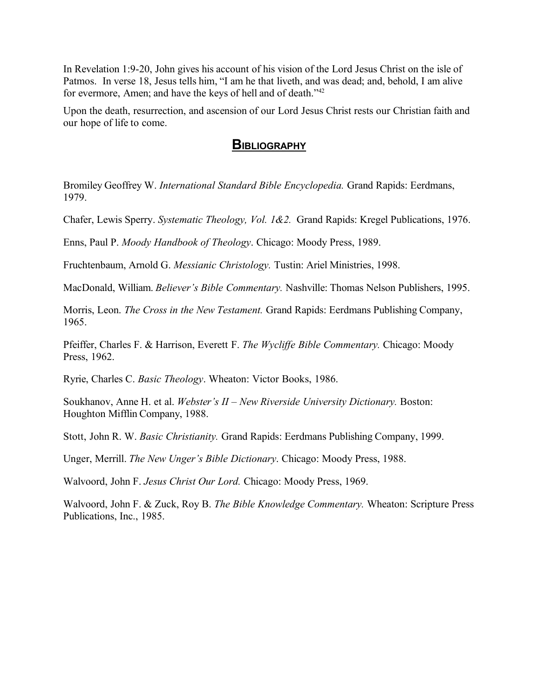In Revelation 1:9-20, John gives his account of his vision of the Lord Jesus Christ on the isle of Patmos. In verse 18, Jesus tells him, "I am he that liveth, and was dead; and, behold, I am alive for evermore, Amen; and have the keys of hell and of death."<sup>42</sup>

Upon the death, resurrection, and ascension of our Lord Jesus Christ rests our Christian faith and our hope of life to come.

### **BIBLIOGRAPHY**

Bromiley Geoffrey W. *International Standard Bible Encyclopedia.* Grand Rapids: Eerdmans, 1979.

Chafer, Lewis Sperry. *Systematic Theology, Vol. 1&2.* Grand Rapids: Kregel Publications, 1976.

Enns, Paul P. *Moody Handbook of Theology*. Chicago: Moody Press, 1989.

Fruchtenbaum, Arnold G. *Messianic Christology.* Tustin: Ariel Ministries, 1998.

MacDonald, William. *Believer's Bible Commentary.* Nashville: Thomas Nelson Publishers, 1995.

Morris, Leon. *The Cross in the New Testament.* Grand Rapids: Eerdmans Publishing Company, 1965.

Pfeiffer, Charles F. & Harrison, Everett F. *The Wycliffe Bible Commentary.* Chicago: Moody Press, 1962.

Ryrie, Charles C. *Basic Theology*. Wheaton: Victor Books, 1986.

Soukhanov, Anne H. et al. *Webster's II – New Riverside University Dictionary.* Boston: Houghton Mifflin Company, 1988.

Stott, John R. W. *Basic Christianity.* Grand Rapids: Eerdmans Publishing Company, 1999.

Unger, Merrill. *The New Unger's Bible Dictionary*. Chicago: Moody Press, 1988.

Walvoord, John F. *Jesus Christ Our Lord.* Chicago: Moody Press, 1969.

Walvoord, John F. & Zuck, Roy B. *The Bible Knowledge Commentary.* Wheaton: Scripture Press Publications, Inc., 1985.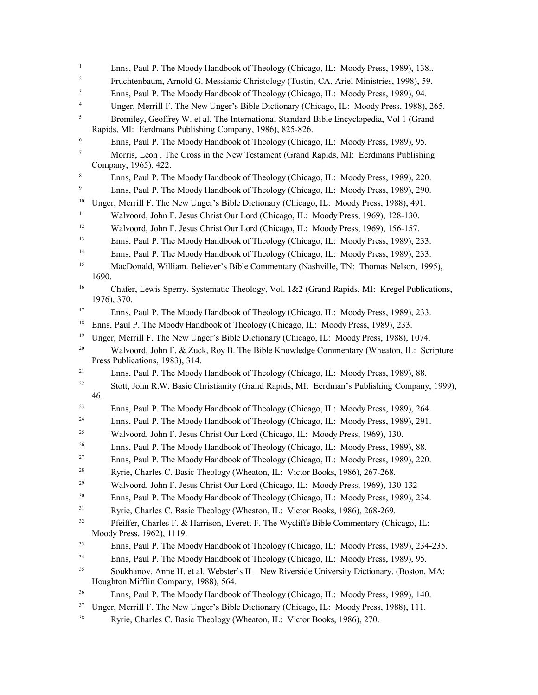1 Enns, Paul P. The Moody Handbook of Theology (Chicago, IL: Moody Press, 1989), 138.. 2 Fruchtenbaum, Arnold G. Messianic Christology (Tustin, CA, Ariel Ministries, 1998), 59. 3 Enns, Paul P. The Moody Handbook of Theology (Chicago, IL: Moody Press, 1989), 94. 4 Unger, Merrill F. The New Unger's Bible Dictionary (Chicago, IL: Moody Press, 1988), 265. 5 Bromiley, Geoffrey W. et al. The International Standard Bible Encyclopedia, Vol 1 (Grand Rapids, MI: Eerdmans Publishing Company, 1986), 825-826. 6 Enns, Paul P. The Moody Handbook of Theology (Chicago, IL: Moody Press, 1989), 95. 7 Morris, Leon . The Cross in the New Testament (Grand Rapids, MI: Eerdmans Publishing Company, 1965), 422. 8 Enns, Paul P. The Moody Handbook of Theology (Chicago, IL: Moody Press, 1989), 220. 9 Enns, Paul P. The Moody Handbook of Theology (Chicago, IL: Moody Press, 1989), 290. <sup>10</sup> Unger, Merrill F. The New Unger's Bible Dictionary (Chicago, IL: Moody Press, 1988), 491. <sup>11</sup> Walvoord, John F. Jesus Christ Our Lord (Chicago, IL: Moody Press, 1969), 128-130. <sup>12</sup> Walvoord, John F. Jesus Christ Our Lord (Chicago, IL: Moody Press, 1969), 156-157. <sup>13</sup> Enns, Paul P. The Moody Handbook of Theology (Chicago, IL: Moody Press, 1989), 233. <sup>14</sup> Enns, Paul P. The Moody Handbook of Theology (Chicago, IL: Moody Press, 1989), 233. <sup>15</sup> MacDonald, William. Believer's Bible Commentary (Nashville, TN: Thomas Nelson, 1995), 1690. <sup>16</sup> Chafer, Lewis Sperry. Systematic Theology, Vol. 1&2 (Grand Rapids, MI: Kregel Publications, 1976), 370. <sup>17</sup> Enns, Paul P. The Moody Handbook of Theology (Chicago, IL: Moody Press, 1989), 233. <sup>18</sup> Enns, Paul P. The Moody Handbook of Theology (Chicago, IL: Moody Press, 1989), 233. <sup>19</sup> Unger, Merrill F. The New Unger's Bible Dictionary (Chicago, IL: Moody Press, 1988), 1074. <sup>20</sup> Walvoord, John F. & Zuck, Roy B. The Bible Knowledge Commentary (Wheaton, IL: Scripture Press Publications, 1983), 314. <sup>21</sup> Enns, Paul P. The Moody Handbook of Theology (Chicago, IL: Moody Press, 1989), 88.  $22$  Stott, John R.W. Basic Christianity (Grand Rapids, MI: Eerdman's Publishing Company, 1999), 46. <sup>23</sup> Enns, Paul P. The Moody Handbook of Theology (Chicago, IL: Moody Press, 1989), 264. <sup>24</sup> Enns, Paul P. The Moody Handbook of Theology (Chicago, IL: Moody Press, 1989), 291. <sup>25</sup> Walvoord, John F. Jesus Christ Our Lord (Chicago, IL: Moody Press, 1969), 130. <sup>26</sup> Enns, Paul P. The Moody Handbook of Theology (Chicago, IL: Moody Press, 1989), 88. <sup>27</sup> Enns, Paul P. The Moody Handbook of Theology (Chicago, IL: Moody Press, 1989), 220. <sup>28</sup> Ryrie, Charles C. Basic Theology (Wheaton, IL: Victor Books, 1986), 267-268. <sup>29</sup> Walvoord, John F. Jesus Christ Our Lord (Chicago, IL: Moody Press, 1969), 130-132 <sup>30</sup> Enns, Paul P. The Moody Handbook of Theology (Chicago, IL: Moody Press, 1989), 234. <sup>31</sup> Ryrie, Charles C. Basic Theology (Wheaton, IL: Victor Books, 1986), 268-269. <sup>32</sup> Pfeiffer, Charles F. & Harrison, Everett F. The Wycliffe Bible Commentary (Chicago, IL: Moody Press, 1962), 1119. <sup>33</sup> Enns, Paul P. The Moody Handbook of Theology (Chicago, IL: Moody Press, 1989), 234-235. <sup>34</sup> Enns, Paul P. The Moody Handbook of Theology (Chicago, IL: Moody Press, 1989), 95.  $35$  Soukhanov, Anne H. et al. Webster's II – New Riverside University Dictionary. (Boston, MA: Houghton Mifflin Company, 1988), 564. <sup>36</sup> Enns, Paul P. The Moody Handbook of Theology (Chicago, IL: Moody Press, 1989), 140. <sup>37</sup> Unger, Merrill F. The New Unger's Bible Dictionary (Chicago, IL: Moody Press, 1988), 111. 38 Ryrie, Charles C. Basic Theology (Wheaton, IL: Victor Books, 1986), 270.